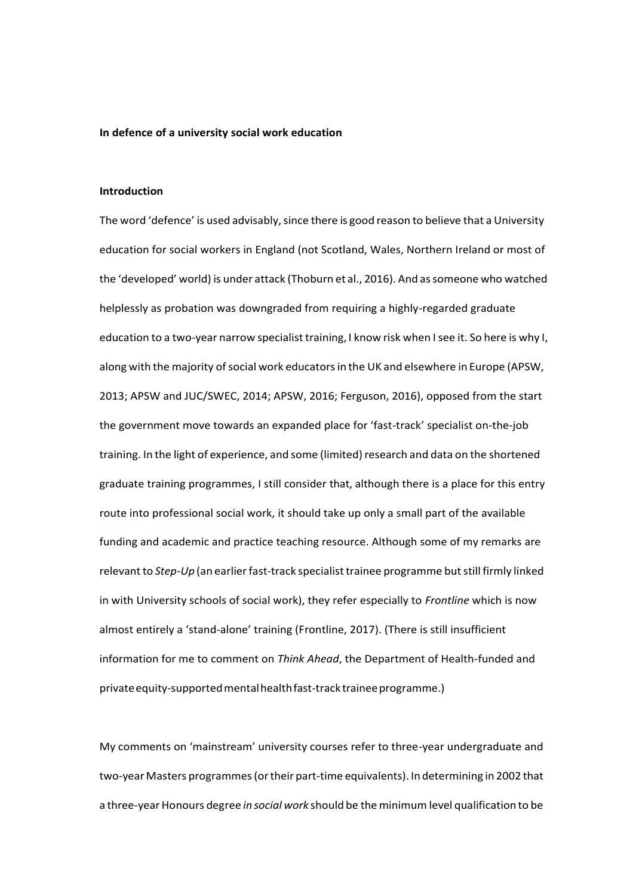### **In defence of a university social work education**

# **Introduction**

The word 'defence' is used advisably, since there is good reason to believe that a University education for social workers in England (not Scotland, Wales, Northern Ireland or most of the 'developed' world) is under attack (Thoburn et al., 2016). And assomeone who watched helplessly as probation was downgraded from requiring a highly-regarded graduate education to a two-year narrow specialist training, I know risk when I see it. So here is why I, along with the majority of social work educators in the UK and elsewhere in Europe (APSW, 2013; APSW and JUC/SWEC, 2014; APSW, 2016; Ferguson, 2016), opposed from the start the government move towards an expanded place for 'fast-track' specialist on-the-job training. In the light of experience, and some (limited) research and data on the shortened graduate training programmes, I still consider that, although there is a place for this entry route into professional social work, it should take up only a small part of the available funding and academic and practice teaching resource. Although some of my remarks are relevant to *Step-Up* (an earlier fast-track specialist trainee programme but still firmly linked in with University schools of social work), they refer especially to *Frontline* which is now almost entirely a 'stand-alone' training (Frontline, 2017). (There is still insufficient information for me to comment on *Think Ahead*, the Department of Health-funded and privateequity-supportedmentalhealthfast-tracktraineeprogramme.)

My comments on 'mainstream' university courses refer to three-year undergraduate and two-yearMasters programmes(ortheir part-time equivalents). In determining in 2002 that a three-year Honours degree *in social work* should be the minimum level qualification to be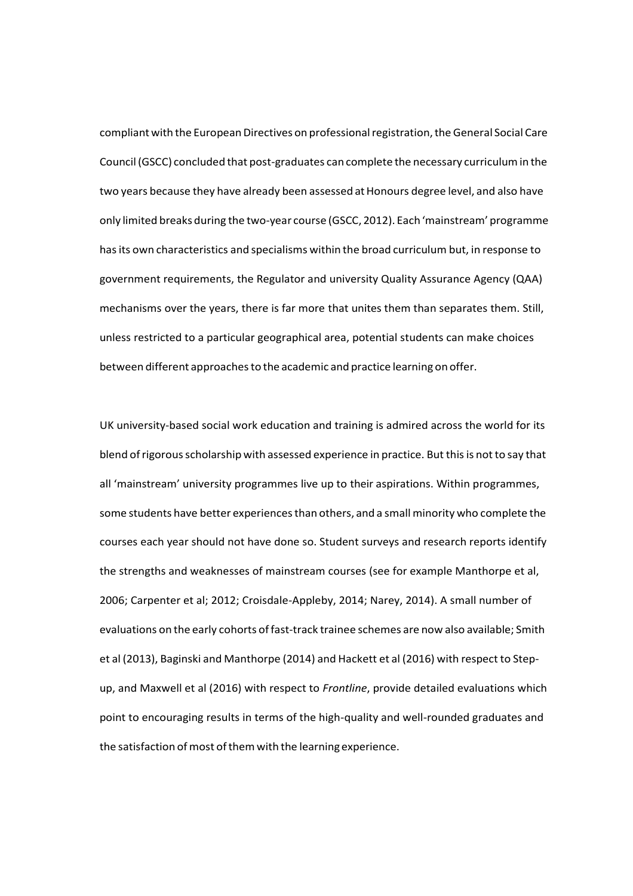compliant with the European Directives on professional registration, the General Social Care Council(GSCC) concluded that post-graduates can complete the necessary curriculumin the two years because they have already been assessed at Honours degree level, and also have only limited breaks during the two-year course (GSCC, 2012). Each 'mainstream' programme hasits own characteristics and specialisms within the broad curriculum but, in response to government requirements, the Regulator and university Quality Assurance Agency (QAA) mechanisms over the years, there is far more that unites them than separates them. Still, unless restricted to a particular geographical area, potential students can make choices between different approaches to the academic and practice learning on offer.

UK university-based social work education and training is admired across the world for its blend of rigorous scholarship with assessed experience in practice. But this is not to say that all 'mainstream' university programmes live up to their aspirations. Within programmes, some students have better experiences than others, and a small minority who complete the courses each year should not have done so. Student surveys and research reports identify the strengths and weaknesses of mainstream courses (see for example Manthorpe et al, 2006; Carpenter et al; 2012; Croisdale-Appleby, 2014; Narey, 2014). A small number of evaluations on the early cohorts of fast-track trainee schemes are now also available; Smith et al (2013), Baginski and Manthorpe (2014) and Hackett et al (2016) with respect to Stepup, and Maxwell et al (2016) with respect to *Frontline*, provide detailed evaluations which point to encouraging results in terms of the high-quality and well-rounded graduates and the satisfaction of most of them with the learning experience.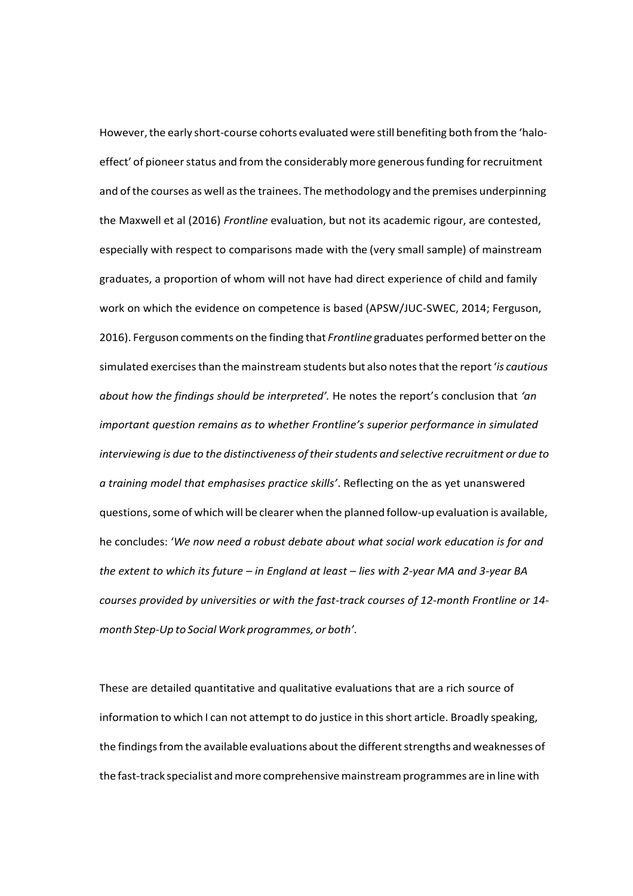However, the early short-course cohorts evaluated were still benefiting both from the 'haloeffect' of pioneer status and from the considerably more generous funding for recruitment and ofthe courses as well asthe trainees. The methodology and the premises underpinning the Maxwell et al (2016) *Frontline* evaluation, but not its academic rigour, are contested, especially with respect to comparisons made with the (very small sample) of mainstream graduates, a proportion of whom will not have had direct experience of child and family work on which the evidence on competence is based (APSW/JUC-SWEC, 2014; Ferguson, 2016). Ferguson comments on the finding that *Frontline* graduates performed better on the simulated exercisesthan themainstream students but also notesthatthe report'*is cautious about how the findings should be interpreted'.* He notes the report's conclusion that *'an important question remains as to whether Frontline's superior performance in simulated interviewing is due to the distinctiveness oftheirstudents and selective recruitment or due to a training model that emphasises practice skills'*. Reflecting on the as yet unanswered questions,some of which will be clearer when the planned follow-up evaluation is available, he concludes: '*We now need a robust debate about what social work education is for and the extent to which its future – in England at least – lies with 2-year MA and 3-year BA courses provided by universities or with the fast-track courses of 12-month Frontline or 14 month Step-Up to Social Work programmes, or both'*.

These are detailed quantitative and qualitative evaluations that are a rich source of information to which I can not attempt to do justice in this short article. Broadly speaking, the findings from the available evaluations about the different strengths and weaknesses of the fast-track specialist and more comprehensive mainstream programmes are in line with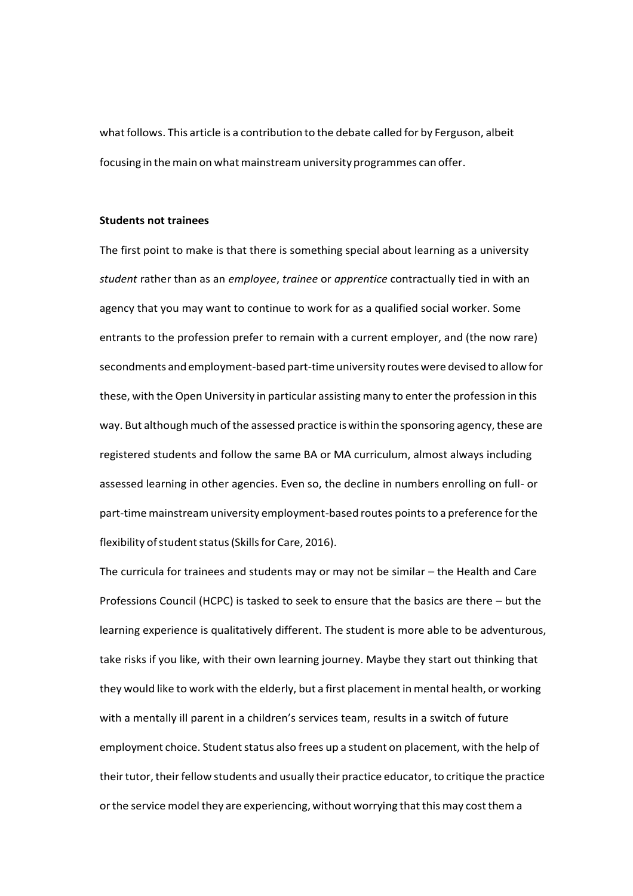what follows. This article is a contribution to the debate called for by Ferguson, albeit focusing in the main on what mainstream university programmes can offer.

### **Students not trainees**

The first point to make is that there is something special about learning as a university *student* rather than as an *employee*, *trainee* or *apprentice* contractually tied in with an agency that you may want to continue to work for as a qualified social worker. Some entrants to the profession prefer to remain with a current employer, and (the now rare) secondments andemployment-based part-time university routes were devised to allowfor these, with the Open University in particular assisting many to enterthe profession in this way. But although much of the assessed practice is within the sponsoring agency, these are registered students and follow the same BA or MA curriculum, almost always including assessed learning in other agencies. Even so, the decline in numbers enrolling on full- or part-time mainstream university employment-based routes pointsto a preference forthe flexibility of student status (Skills for Care, 2016).

The curricula for trainees and students may or may not be similar – the Health and Care Professions Council (HCPC) is tasked to seek to ensure that the basics are there – but the learning experience is qualitatively different. The student is more able to be adventurous, take risks if you like, with their own learning journey. Maybe they start out thinking that they would like to work with the elderly, but a first placement in mental health, or working with a mentally ill parent in a children's services team, results in a switch of future employment choice. Student status also frees up a student on placement, with the help of their tutor, their fellow students and usually their practice educator, to critique the practice orthe service model they are experiencing, without worrying thatthis may costthem a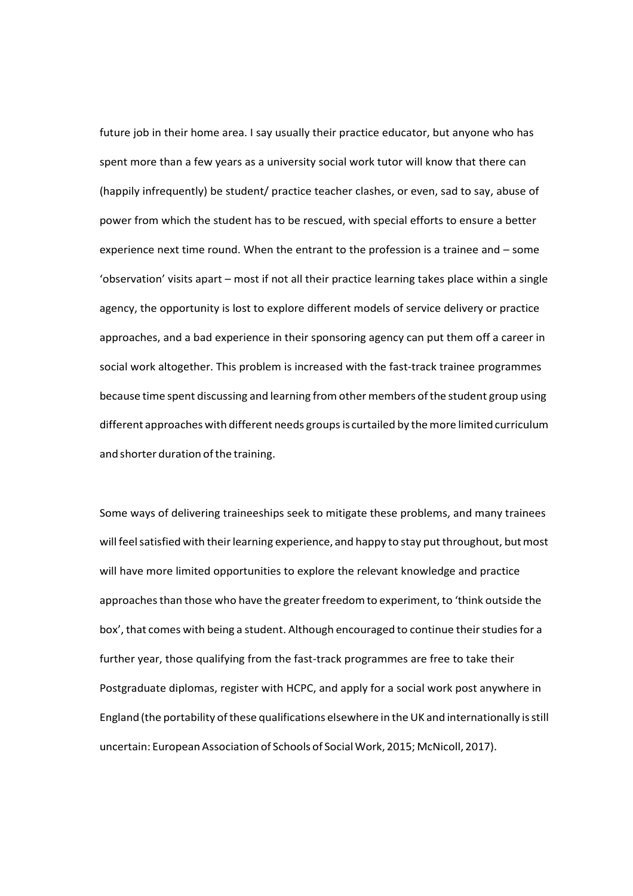future job in their home area. I say usually their practice educator, but anyone who has spent more than a few years as a university social work tutor will know that there can (happily infrequently) be student/ practice teacher clashes, or even, sad to say, abuse of power from which the student has to be rescued, with special efforts to ensure a better experience next time round. When the entrant to the profession is a trainee and – some 'observation' visits apart – most if not all their practice learning takes place within a single agency, the opportunity is lost to explore different models of service delivery or practice approaches, and a bad experience in their sponsoring agency can put them off a career in social work altogether. This problem is increased with the fast-track trainee programmes because time spent discussing and learning from other members of the student group using different approaches with different needs groupsis curtailed by themore limited curriculum and shorter duration ofthe training.

Some ways of delivering traineeships seek to mitigate these problems, and many trainees will feel satisfied with their learning experience, and happy to stay put throughout, but most will have more limited opportunities to explore the relevant knowledge and practice approaches than those who have the greater freedom to experiment, to 'think outside the box', that comes with being a student. Although encouraged to continue their studies for a further year, those qualifying from the fast-track programmes are free to take their Postgraduate diplomas, register with HCPC, and apply for a social work post anywhere in England (the portability of these qualifications elsewhere in the UK and internationally is still uncertain: European Association of Schools of Social Work, 2015; McNicoll, 2017).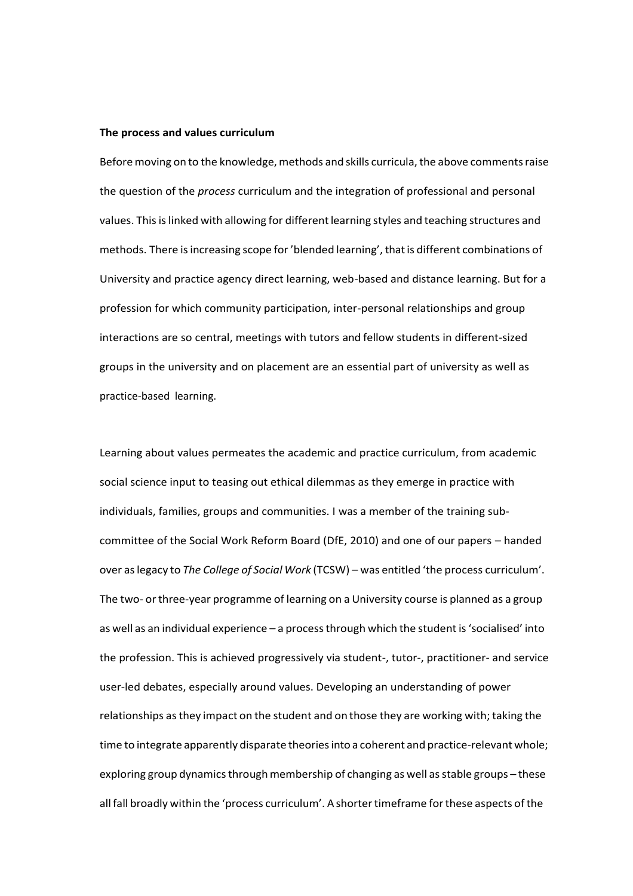### **The process and values curriculum**

Before moving on to the knowledge, methods and skills curricula, the above comments raise the question of the *process* curriculum and the integration of professional and personal values. This is linked with allowing for different learning styles and teaching structures and methods. There is increasing scope for 'blended learning', that is different combinations of University and practice agency direct learning, web-based and distance learning. But for a profession for which community participation, inter-personal relationships and group interactions are so central, meetings with tutors and fellow students in different-sized groups in the university and on placement are an essential part of university as well as practice-based learning.

Learning about values permeates the academic and practice curriculum, from academic social science input to teasing out ethical dilemmas as they emerge in practice with individuals, families, groups and communities. I was a member of the training subcommittee of the Social Work Reform Board (DfE, 2010) and one of our papers – handed over aslegacy to *The College of Social Work* (TCSW) – was entitled 'the process curriculum'. The two- or three-year programme of learning on a University course is planned as a group as well as an individual experience – a processthrough which the student is'socialised' into the profession. This is achieved progressively via student-, tutor-, practitioner- and service user-led debates, especially around values. Developing an understanding of power relationships asthey impact on the student and on those they are working with; taking the time to integrate apparently disparate theoriesinto a coherent and practice-relevant whole; exploring group dynamics through membership of changing as well as stable groups – these all fall broadly within the 'process curriculum'. A shorter timeframe for these aspects of the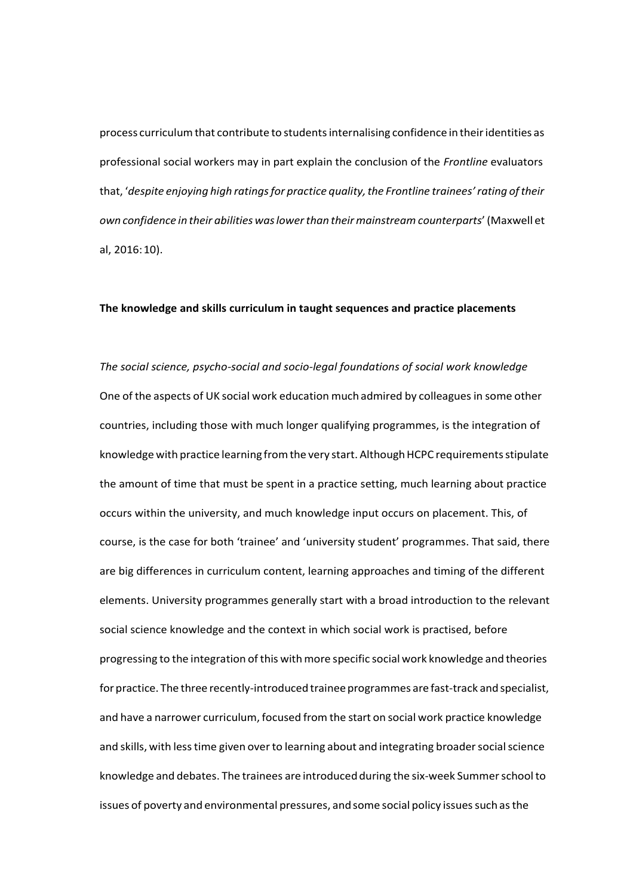process curriculumthat contribute to studentsinternalising confidence in theiridentities as professional social workers may in part explain the conclusion of the *Frontline* evaluators that, '*despite enjoying high ratingsfor practice quality,the Frontline trainees'rating oftheir own confidence in their abilities waslowerthan theirmainstreamcounterparts*' (Maxwell et al, 2016:10).

# **The knowledge and skills curriculum in taught sequences and practice placements**

*The social science, psycho-social and socio-legal foundations of social work knowledge* One of the aspects of UK social work education much admired by colleagues in some other countries, including those with much longer qualifying programmes, is the integration of knowledge with practice learning from the very start. Although HCPC requirements stipulate the amount of time that must be spent in a practice setting, much learning about practice occurs within the university, and much knowledge input occurs on placement. This, of course, is the case for both 'trainee' and 'university student' programmes. That said, there are big differences in curriculum content, learning approaches and timing of the different elements. University programmes generally start with a broad introduction to the relevant social science knowledge and the context in which social work is practised, before progressing to the integration ofthis withmore specific social work knowledge and theories for practice. The three recently-introduced trainee programmes are fast-track and specialist, and have a narrower curriculum, focused from the start on social work practice knowledge and skills, with less time given over to learning about and integrating broader social science knowledge and debates. The trainees are introduced during the six-week Summer school to issues of poverty and environmental pressures, and some social policy issues such as the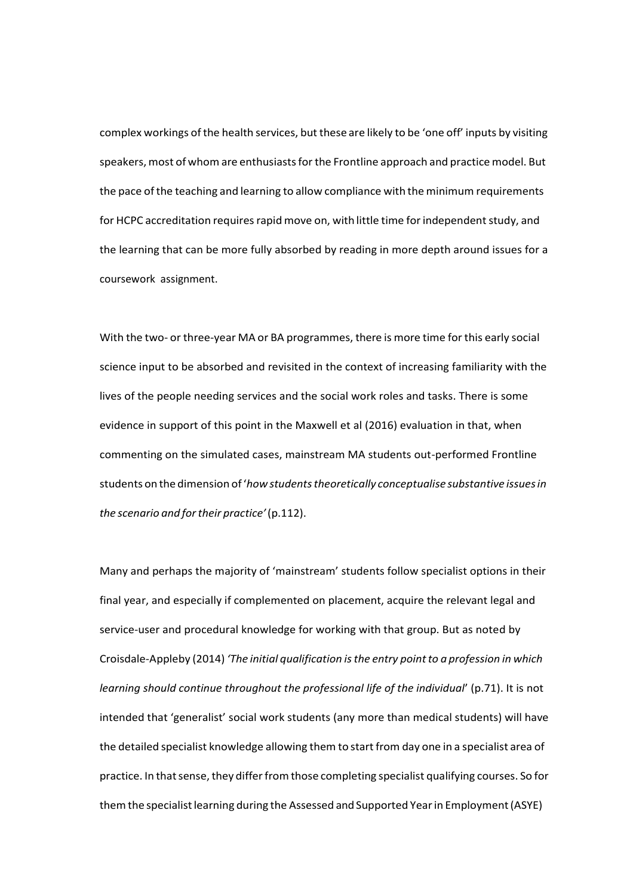complex workings ofthe health services, but these are likely to be 'one off' inputs by visiting speakers, most of whom are enthusiasts for the Frontline approach and practice model. But the pace of the teaching and learning to allow compliance with the minimum requirements for HCPC accreditation requires rapid move on, with little time for independent study, and the learning that can be more fully absorbed by reading in more depth around issues for a coursework assignment.

With the two- or three-year MA or BA programmes, there is more time for this early social science input to be absorbed and revisited in the context of increasing familiarity with the lives of the people needing services and the social work roles and tasks. There is some evidence in support of this point in the Maxwell et al (2016) evaluation in that, when commenting on the simulated cases, mainstream MA students out-performed Frontline students on the dimension of'*howstudentstheoretically conceptualise substantive issuesin the scenario and fortheir practice'*(p.112).

Many and perhaps the majority of 'mainstream' students follow specialist options in their final year, and especially if complemented on placement, acquire the relevant legal and service-user and procedural knowledge for working with that group. But as noted by Croisdale-Appleby (2014) *'The initial qualification isthe entry pointto a profession in which learning should continue throughout the professional life of the individual*' (p.71). It is not intended that 'generalist' social work students (any more than medical students) will have the detailed specialist knowledge allowing them to start from day one in a specialist area of practice. In that sense, they differ from those completing specialist qualifying courses. So for them the specialistlearning during the Assessed and Supported Yearin Employment(ASYE)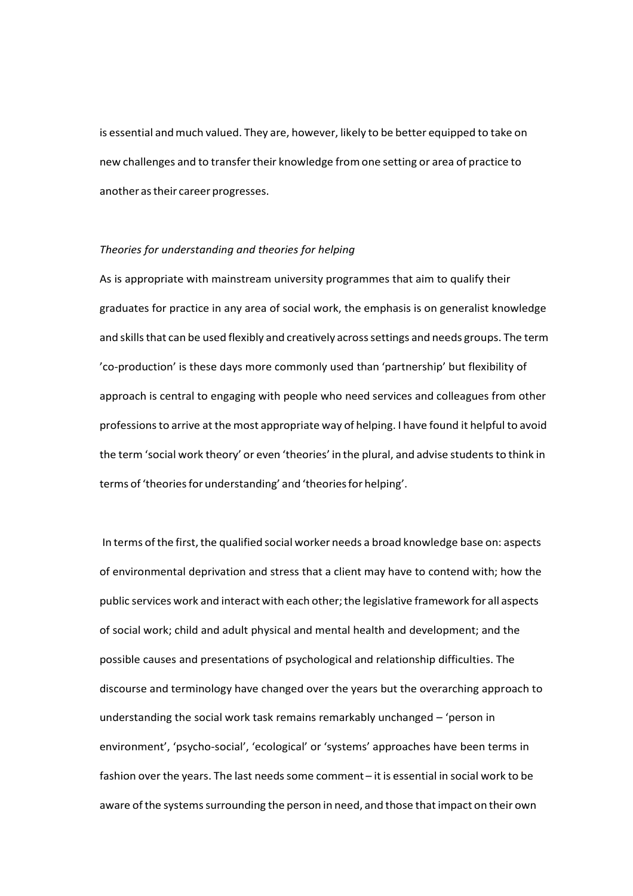is essential and much valued. They are, however, likely to be better equipped to take on new challenges and to transfertheir knowledge fromone setting or area of practice to another astheir career progresses.

# *Theories for understanding and theories for helping*

As is appropriate with mainstream university programmes that aim to qualify their graduates for practice in any area of social work, the emphasis is on generalist knowledge and skills that can be used flexibly and creatively across settings and needs groups. The term 'co-production' is these days more commonly used than 'partnership' but flexibility of approach is central to engaging with people who need services and colleagues from other professionsto arrive at the most appropriate way of helping. I have found it helpful to avoid the term 'social work theory' or even 'theories' in the plural, and advise students to think in terms of 'theoriesfor understanding' and 'theoriesfor helping'.

In terms of the first, the qualified social worker needs a broad knowledge base on: aspects of environmental deprivation and stress that a client may have to contend with; how the public services work and interact with each other;the legislative framework for all aspects of social work; child and adult physical and mental health and development; and the possible causes and presentations of psychological and relationship difficulties. The discourse and terminology have changed over the years but the overarching approach to understanding the social work task remains remarkably unchanged – 'person in environment', 'psycho-social', 'ecological' or 'systems' approaches have been terms in fashion over the years. The last needs some comment – it is essential in social work to be aware of the systems surrounding the person in need, and those that impact on their own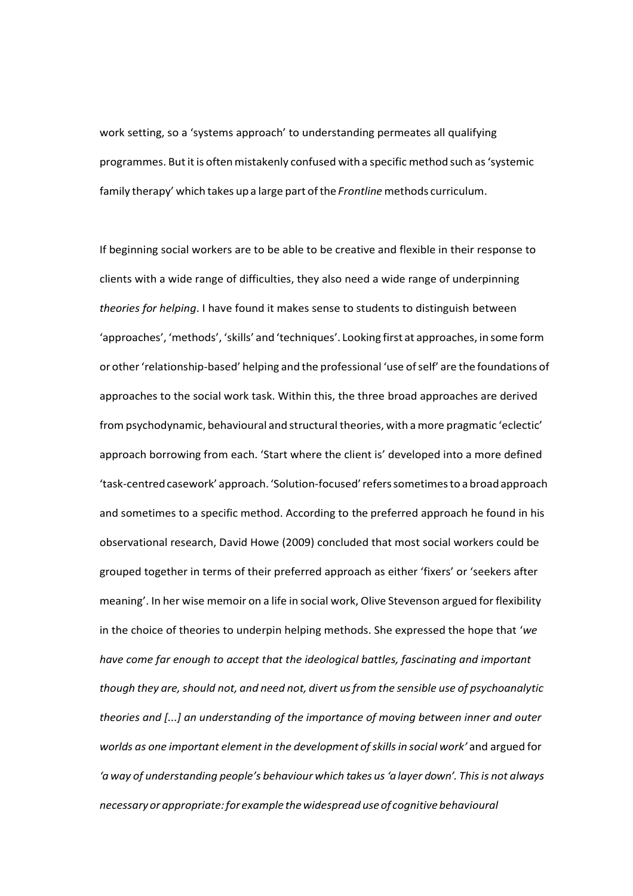work setting, so a 'systems approach' to understanding permeates all qualifying programmes. But it is often mistakenly confused with a specific method such as 'systemic family therapy' which takes up a large part ofthe *Frontline* methods curriculum.

If beginning social workers are to be able to be creative and flexible in their response to clients with a wide range of difficulties, they also need a wide range of underpinning *theories for helping*. I have found it makes sense to students to distinguish between 'approaches', 'methods', 'skills' and 'techniques'. Looking first at approaches, in some form or other'relationship-based' helping and the professional 'use ofself' are the foundations of approaches to the social work task. Within this, the three broad approaches are derived from psychodynamic, behavioural and structural theories, with amore pragmatic 'eclectic' approach borrowing from each. 'Start where the client is' developed into a more defined 'task-centredcasework' approach. 'Solution-focused'referssometimesto a broadapproach and sometimes to a specific method. According to the preferred approach he found in his observational research, David Howe (2009) concluded that most social workers could be grouped together in terms of their preferred approach as either 'fixers' or 'seekers after meaning'. In her wise memoir on a life in social work, Olive Stevenson argued for flexibility in the choice of theories to underpin helping methods. She expressed the hope that '*we have come far enough to accept that the ideological battles, fascinating and important though they are,should not, and need not, divert usfrom the sensible use of psychoanalytic theories and [...] an understanding of the importance of moving between inner and outer worlds as one important elementin the development ofskillsin social work'* and argued for *'away of understanding people's behaviour which takes us'a layer down'. Thisis not always necessary or appropriate:for example thewidespread useof cognitive behavioural*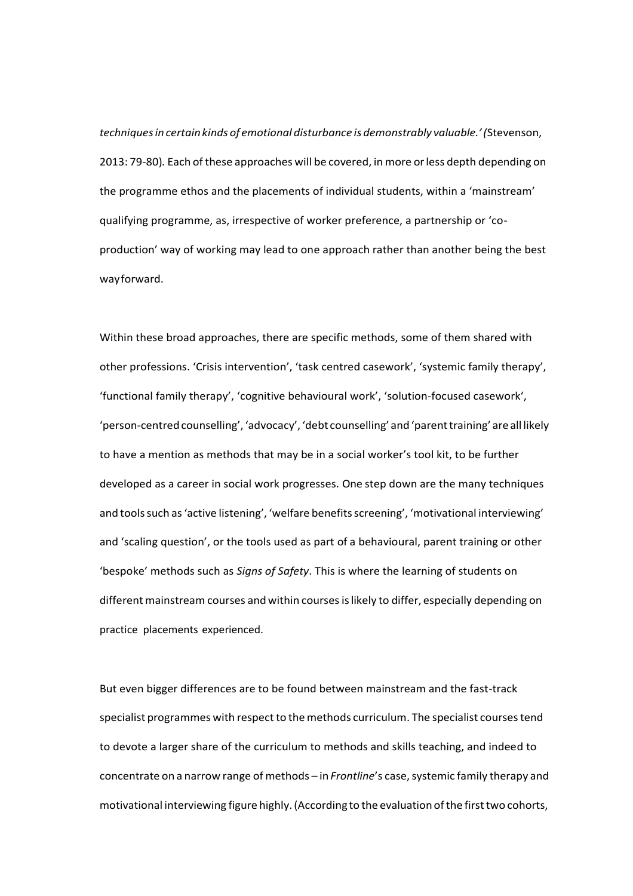*techniquesin certainkinds of emotional disturbance is demonstrably valuable.'(*Stevenson, 2013: 79-80). Each of these approaches will be covered, in more or less depth depending on the programme ethos and the placements of individual students, within a 'mainstream' qualifying programme, as, irrespective of worker preference, a partnership or 'coproduction' way of working may lead to one approach rather than another being the best wayforward.

Within these broad approaches, there are specific methods, some of them shared with other professions. 'Crisis intervention', 'task centred casework', 'systemic family therapy', 'functional family therapy', 'cognitive behavioural work', 'solution-focused casework', 'person-centred counselling', 'advocacy', 'debt counselling' and 'parent training' are all likely to have a mention as methods that may be in a social worker's tool kit, to be further developed as a career in social work progresses. One step down are the many techniques and tools such as 'active listening', 'welfare benefits screening', 'motivational interviewing' and 'scaling question', or the tools used as part of a behavioural, parent training or other 'bespoke' methods such as *Signs of Safety*. This is where the learning of students on different mainstream courses and within courses is likely to differ, especially depending on practice placements experienced.

But even bigger differences are to be found between mainstream and the fast-track specialist programmes with respect to the methods curriculum. The specialist courses tend to devote a larger share of the curriculum to methods and skills teaching, and indeed to concentrate on a narrow range of methods – in *Frontline'* s case, systemic family therapy and motivational interviewing figure highly.(According to the evaluation ofthe firsttwo cohorts,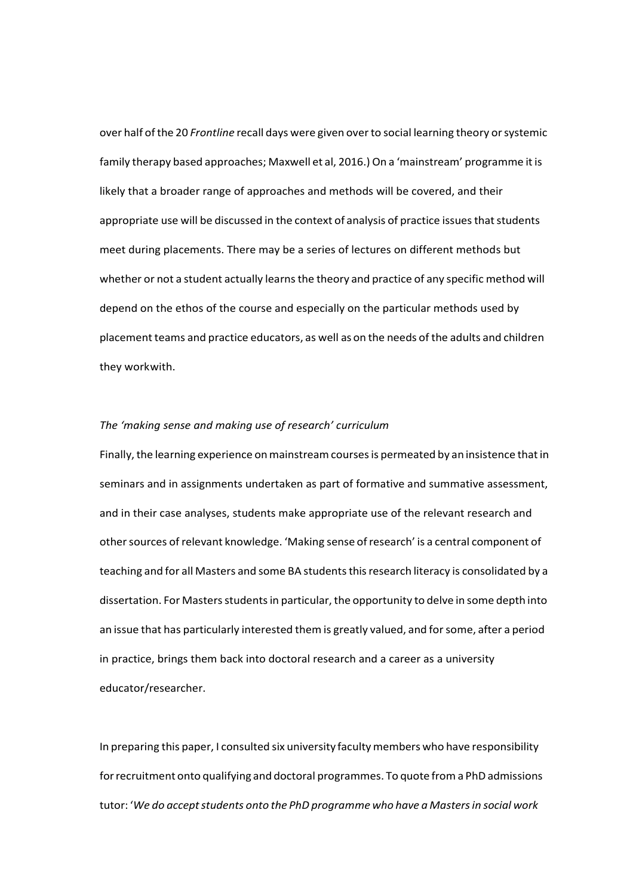over half ofthe 20 *Frontline* recall days were given overto social learning theory orsystemic family therapy based approaches; Maxwell et al, 2016.) On a 'mainstream' programme it is likely that a broader range of approaches and methods will be covered, and their appropriate use will be discussed in the context of analysis of practice issues that students meet during placements. There may be a series of lectures on different methods but whether or not a student actually learns the theory and practice of any specific method will depend on the ethos of the course and especially on the particular methods used by placementteams and practice educators, as well as on the needs of the adults and children they workwith.

### *The 'making sense and making use of research' curriculum*

Finally, the learning experience on mainstream courses is permeated by an insistence that in seminars and in assignments undertaken as part of formative and summative assessment, and in their case analyses, students make appropriate use of the relevant research and other sources of relevant knowledge. 'Making sense of research' is a central component of teaching and for all Masters and some BA students this research literacy is consolidated by a dissertation. For Masters students in particular, the opportunity to delve in some depth into an issue that has particularly interested them is greatly valued, and forsome, after a period in practice, brings them back into doctoral research and a career as a university educator/researcher.

In preparing this paper, I consulted six university faculty members who have responsibility forrecruitment onto qualifying and doctoral programmes. To quote from a PhDadmissions tutor: '*We do acceptstudents onto the PhD programme who have a Mastersin social work*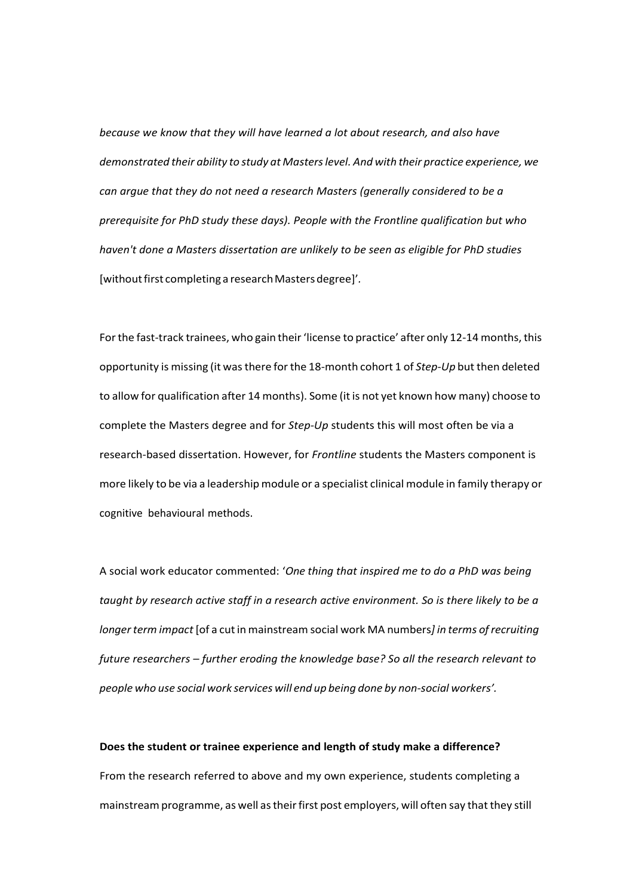*because we know that they will have learned a lot about research, and also have demonstrated their ability to study at Masterslevel. And with their practice experience, we can argue that they do not need a research Masters (generally considered to be a prerequisite for PhD study these days). People with the Frontline qualification but who haven't done a Masters dissertation are unlikely to be seen as eligible for PhD studies*  [withoutfirst completing a researchMastersdegree]'*.*

For the fast-track trainees, who gain their 'license to practice' after only 12-14 months, this opportunity is missing (it wasthere forthe 18-month cohort 1 of *Step-Up* but then deleted to allow for qualification after 14 months). Some (itis not yet known how many) choose to complete the Masters degree and for *Step-Up* students this will most often be via a research-based dissertation. However, for *Frontline* students the Masters component is more likely to be via a leadership module or a specialist clinical module in family therapy or cognitive behavioural methods.

A social work educator commented: '*One thing that inspired me to do a PhD was being taught by research active staff in a research active environment. So is there likely to be a longerterm impact* [of a cutin mainstream social work MA numbers*] in terms ofrecruiting future researchers – further eroding the knowledge base? So all the research relevant to people who use social work services will end up being done by non-social workers'.*

**Does the student or trainee experience and length of study make a difference?** From the research referred to above and my own experience, students completing a mainstream programme, as well as their first post employers, will often say that they still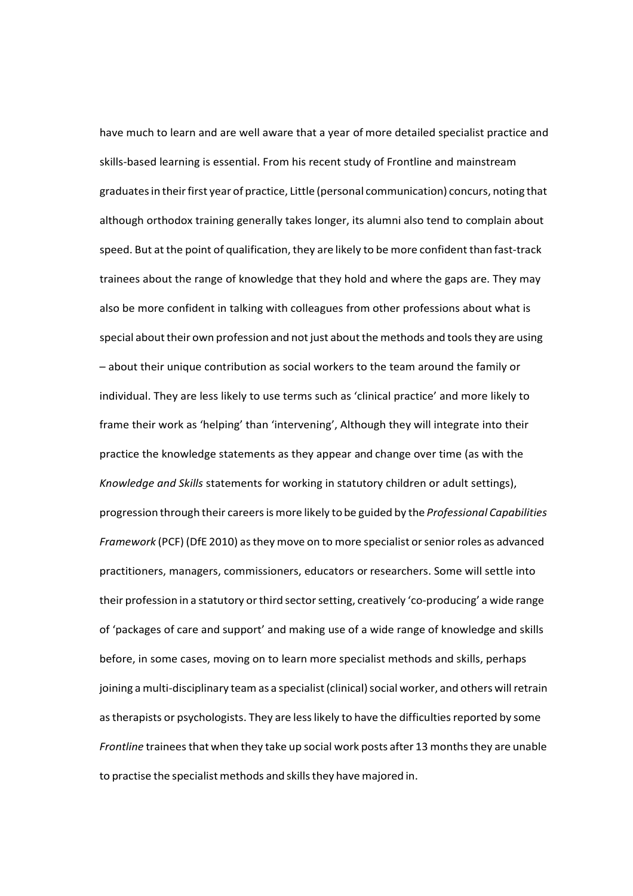have much to learn and are well aware that a year of more detailed specialist practice and skills-based learning is essential. From his recent study of Frontline and mainstream graduates in their first year of practice, Little (personal communication) concurs, noting that although orthodox training generally takes longer, its alumni also tend to complain about speed. But at the point of qualification, they are likely to be more confident than fast-track trainees about the range of knowledge that they hold and where the gaps are. They may also be more confident in talking with colleagues from other professions about what is special about their own profession and not just about the methods and tools they are using – about their unique contribution as social workers to the team around the family or individual. They are less likely to use terms such as 'clinical practice' and more likely to frame their work as 'helping' than 'intervening', Although they will integrate into their practice the knowledge statements as they appear and change over time (as with the *Knowledge and Skills* statements for working in statutory children or adult settings), progression through their careersis more likely tobe guided by the *Professional Capabilities Framework* (PCF) (DfE 2010) asthey move on to more specialist orsenior roles as advanced practitioners, managers, commissioners, educators or researchers. Some will settle into their profession in a statutory or third sector setting, creatively 'co-producing' a wide range of 'packages of care and support' and making use of a wide range of knowledge and skills before, in some cases, moving on to learn more specialist methods and skills, perhaps joining a multi-disciplinary team as a specialist (clinical) social worker, and others will retrain as therapists or psychologists. They are less likely to have the difficulties reported by some *Frontline* trainees that when they take up social work posts after 13 months they are unable to practise the specialist methods and skills they have majored in.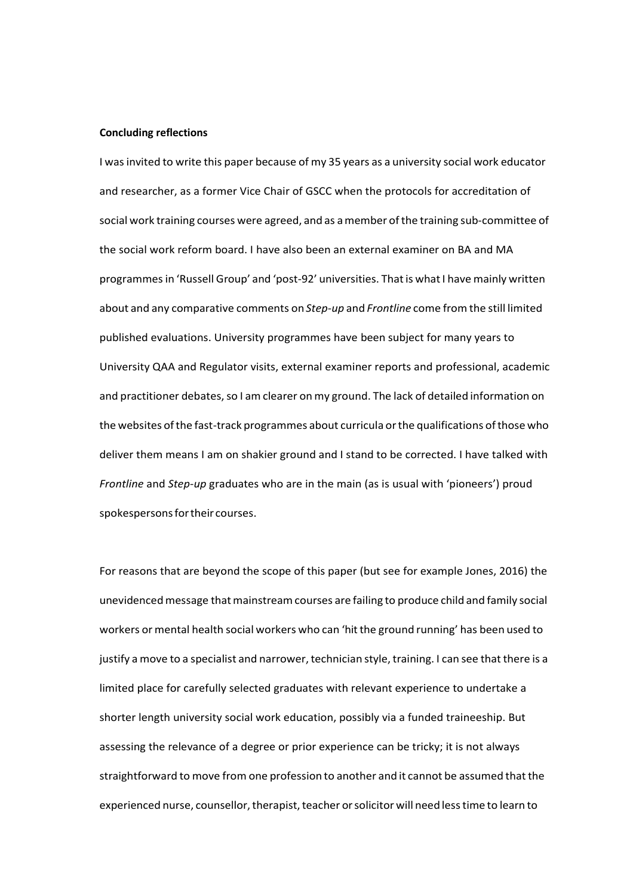### **Concluding reflections**

I was invited to write this paper because of my 35 years as a university social work educator and researcher, as a former Vice Chair of GSCC when the protocols for accreditation of social work training courses were agreed, and as a member of the training sub-committee of the social work reform board. I have also been an external examiner on BA and MA programmes in 'Russell Group' and 'post-92' universities. That is what I have mainly written about and any comparative comments on *Step-up* and *Frontline* come from the still limited published evaluations. University programmes have been subject for many years to University QAA and Regulator visits, external examiner reports and professional, academic and practitioner debates, so I am clearer on my ground. The lack of detailed information on the websites ofthe fast-track programmes about curricula orthe qualifications ofthose who deliver them means I am on shakier ground and I stand to be corrected. I have talked with *Frontline* and *Step-up* graduates who are in the main (as is usual with 'pioneers') proud spokespersonsfortheir courses.

For reasons that are beyond the scope of this paper (but see for example Jones, 2016) the unevidencedmessage thatmainstreamcourses are failing to produce child and family social workers or mental health social workers who can 'hitthe ground running' has been used to justify a move to a specialist and narrower, technician style, training. I can see that there is a limited place for carefully selected graduates with relevant experience to undertake a shorter length university social work education, possibly via a funded traineeship. But assessing the relevance of a degree or prior experience can be tricky; it is not always straightforward to move from one profession to another and it cannot be assumed thatthe experienced nurse, counsellor, therapist, teacher or solicitor will need less time to learn to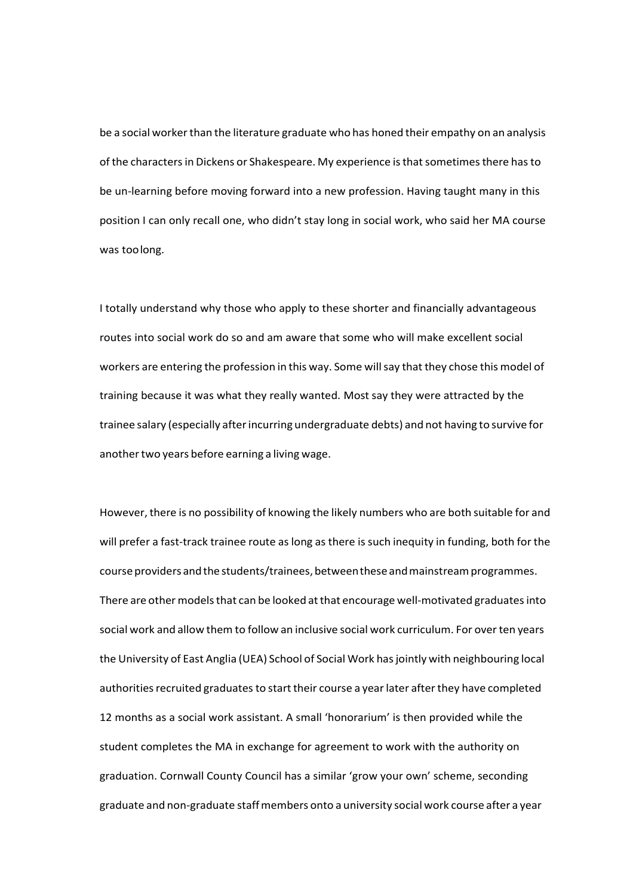be a social worker than the literature graduate who has honed their empathy on an analysis of the characters in Dickens or Shakespeare. My experience is that sometimes there has to be un-learning before moving forward into a new profession. Having taught many in this position I can only recall one, who didn't stay long in social work, who said her MA course was toolong.

I totally understand why those who apply to these shorter and financially advantageous routes into social work do so and am aware that some who will make excellent social workers are entering the profession in this way. Some will say that they chose this model of training because it was what they really wanted. Most say they were attracted by the trainee salary (especially afterincurring undergraduate debts) and not having to survive for another two years before earning a living wage.

However, there is no possibility of knowing the likely numbers who are both suitable for and will prefer a fast-track trainee route aslong as there is such inequity in funding, both for the course providers and the students/trainees, between these and mainstream programmes. There are other models that can be looked at that encourage well-motivated graduates into social work and allow them to follow an inclusive social work curriculum. For over ten years the University of East Anglia (UEA) School of Social Work hasjointly with neighbouring local authorities recruited graduates to start their course a year later after they have completed 12 months as a social work assistant. A small 'honorarium' is then provided while the student completes the MA in exchange for agreement to work with the authority on graduation. Cornwall County Council has a similar 'grow your own' scheme, seconding graduate and non-graduate staffmembers onto a university social work course after a year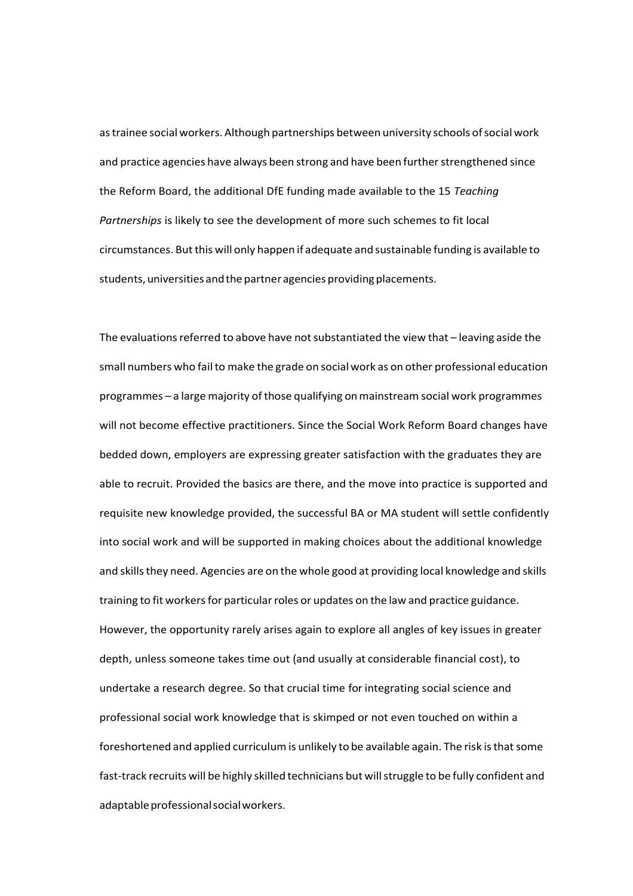as trainee social workers. Although partnerships between university schools of social work and practice agencies have always been strong and have been further strengthened since the Reform Board, the additional DfE funding made available to the 15 *Teaching Partnerships* is likely to see the development of more such schemes to fit local circumstances. But this will only happen if adequate and sustainable funding is available to students, universities and the partner agencies providing placements.

The evaluations referred to above have not substantiated the view that  $-$  leaving aside the small numbers who failto make the grade on socialwork as on other professional education programmes – a large majority of those qualifying on mainstream social work programmes will not become effective practitioners. Since the Social Work Reform Board changes have bedded down, employers are expressing greater satisfaction with the graduates they are able to recruit. Provided the basics are there, and the move into practice is supported and requisite new knowledge provided, the successful BA or MA student will settle confidently into social work and will be supported in making choices about the additional knowledge and skills they need. Agencies are on the whole good at providing local knowledge and skills training to fit workersfor particularroles or updates on the law and practice guidance. However, the opportunity rarely arises again to explore all angles of key issues in greater depth, unless someone takes time out (and usually at considerable financial cost), to undertake a research degree. So that crucial time for integrating social science and professional social work knowledge that is skimped or not even touched on within a foreshortened and applied curriculum is unlikely to be available again. The risk is that some fast-track recruits will be highly skilled technicians but willstruggle to be fully confident and adaptable professional social workers.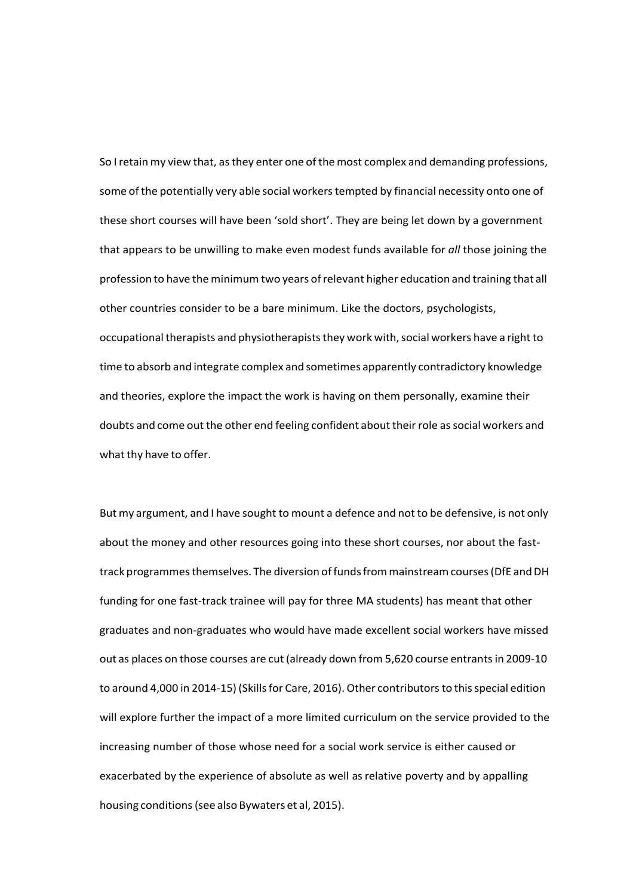So I retain my view that, as they enter one of the most complex and demanding professions, some of the potentially very able social workers tempted by financial necessity onto one of these short courses will have been 'sold short'. They are being let down by a government that appears to be unwilling to make even modest funds available for *all* those joining the profession to have the minimum two years ofrelevant higher education and training that all other countries consider to be a bare minimum. Like the doctors, psychologists, occupational therapists and physiotherapists they work with, social workers have a right to time to absorb and integrate complex and sometimes apparently contradictory knowledge and theories, explore the impact the work is having on them personally, examine their doubts and come out the other end feeling confident about their role as social workers and what thy have to offer.

But my argument, and I have sought to mount a defence and not to be defensive, is not only about the money and other resources going into these short courses, nor about the fasttrack programmes themselves. The diversion of funds from mainstream courses (DfE and DH funding for one fast-track trainee will pay for three MA students) has meant that other graduates and non-graduates who would have made excellent social workers have missed out as places on those courses are cut(already down from 5,620 course entrantsin 2009-10 to around 4,000 in 2014-15) (Skills for Care, 2016). Other contributors to this special edition will explore further the impact of a more limited curriculum on the service provided to the increasing number of those whose need for a social work service is either caused or exacerbated by the experience of absolute as well as relative poverty and by appalling housing conditions(see also Bywaters et al, 2015).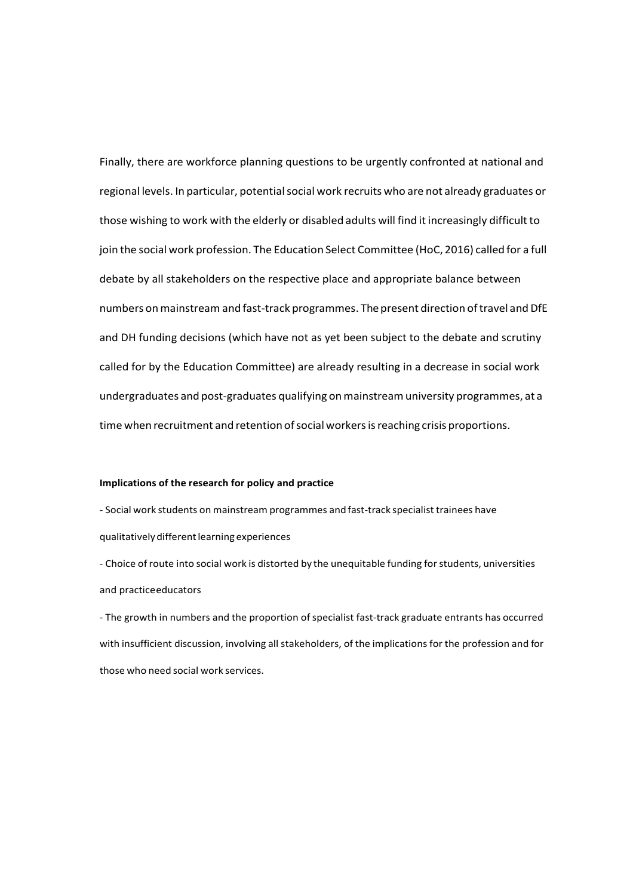Finally, there are workforce planning questions to be urgently confronted at national and regional levels. In particular, potential social work recruits who are not already graduates or those wishing to work with the elderly or disabled adults will find it increasingly difficult to join the social work profession. The Education Select Committee (HoC, 2016) called for a full debate by all stakeholders on the respective place and appropriate balance between numbers on mainstream and fast-track programmes. The present direction of travel and DfE and DH funding decisions (which have not as yet been subject to the debate and scrutiny called for by the Education Committee) are already resulting in a decrease in social work undergraduates and post-graduates qualifying onmainstreamuniversity programmes, at a time when recruitment and retention of social workers is reaching crisis proportions.

### **Implications of the research for policy and practice**

- Social work students on mainstream programmes and fast-track specialist trainees have qualitativelydifferentlearning experiences

- Choice ofroute into social work is distorted by the unequitable funding forstudents, universities and practiceeducators

- The growth in numbers and the proportion of specialist fast-track graduate entrants has occurred with insufficient discussion, involving all stakeholders, of the implications for the profession and for those who need social work services.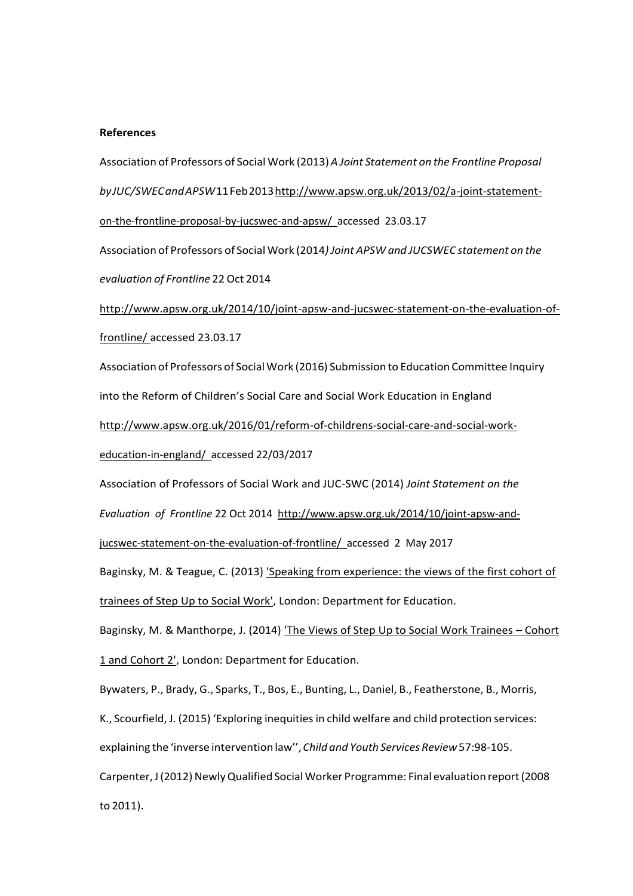### **References**

to 2011).

Association of Professors of Social Work (2013)*A Joint Statement on the Frontline Proposal byJUC/SWECandAPSW*11Feb201[3http://www.apsw.org.uk/2013/02/a-joint-statement](http://www.apsw.org.uk/2013/02/a-joint-statement-)on-the-frontline-proposal-by-jucswec-and-apsw/ accessed 23.03.17

Association of Professors of SocialWork (2014*)Joint APSW and JUCSWEC statement on the evaluation of Frontline* 22Oct 2014

[http://www.apsw.org.uk/2014/10/joint-apsw-and-jucswec-statement-on-the-evaluation-of](http://www.apsw.org.uk/2014/10/joint-apsw-and-jucswec-statement-on-the-evaluation-of-)frontline/ accessed 23.03.17

Association of Professors of Social Work (2016) Submission to Education Committee Inquiry into the Reform of Children's Social Care and Social Work Education in England

<http://www.apsw.org.uk/2016/01/reform-of-childrens-social-care-and-social-work->

education-in-england/ accessed 22/03/2017

Association of Professors of Social Work and JUC-SWC (2014) *Joint Statement on the* 

*Evaluation of Frontline* 22 Oct 2014 <http://www.apsw.org.uk/2014/10/joint-apsw-and->

jucswec-statement-on-the-evaluation-of-frontline/ accessed 2 May 2017

Baginsky, M. & Teague, C. (2013) 'Speaking from experience: the views of the first cohort of trainees of Step Up to Social Work', London: Department for Education.

Baginsky, M. & Manthorpe, J. (2014) 'The Views of Step Up to Social Work Trainees - Cohort 1 and Cohort 2', London: Department for Education.

Bywaters, P., Brady, G., Sparks, T., Bos, E., Bunting, L., Daniel, B., Featherstone, B., Morris, K., Scourfield, J. (2015) 'Exploring inequitiesin child welfare and child protection services: explaining the 'inverse intervention law'',*Child and Youth [Services](http://www.emeraldinsight.com/action/showLinks?doi=10.1108%2FJCS-03-2017-0006&isi=000362131200012&citationId=p_21) Review*57:98-105. Carpenter, J (2012) Newly Qualified Social Worker Programme: Final evaluation report (2008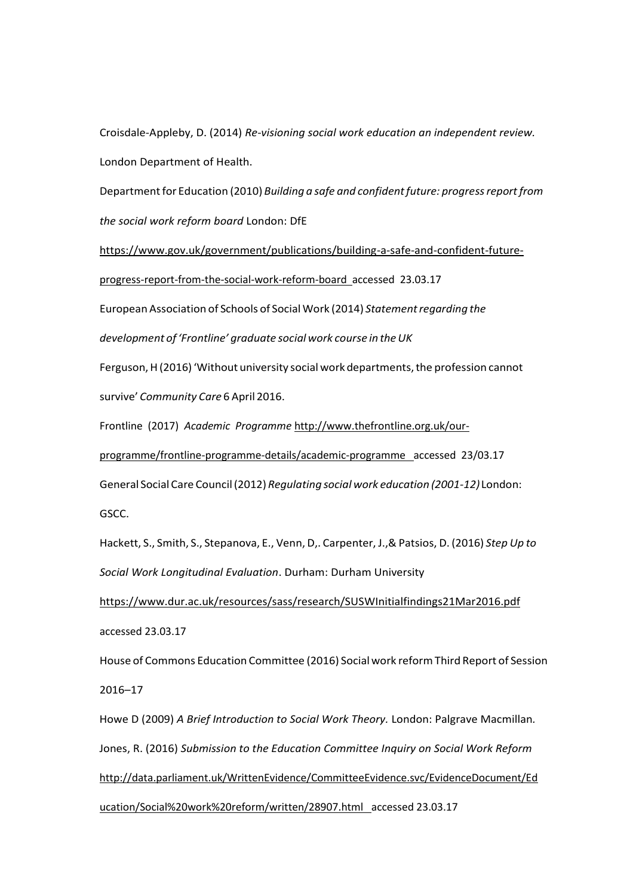Croisdale-Appleby, D. (2014) *Re-visioning social work education an independent review.* London Department of Health.

Departmentfor Education (2010) *Building a safe and confidentfuture: progressreportfrom the social work reform board* London: DfE

https:/[/www.gov.uk/government/publications/building-a-safe-and-confident-future](http://www.gov.uk/government/publications/building-a-safe-and-confident-future-)progress-report-from-the-social-work-reform-board accessed 23.03.17

EuropeanAssociation of Schools of SocialWork (2014) *Statementregarding the* 

*development of'Frontline' graduate social work course in theUK*

Ferguson,H(2016)'Without university socialworkdepartments,the profession cannot survive' *Community Care* 6 April 2016.

Frontline (2017) *Academic Programme* [http://www.thefrontline.org.uk/our](http://www.thefrontline.org.uk/our-)programme/frontline-programme-details/academic-programme accessed 23/03.17 General Social Care Council(2012)*Regulating social work education (2001-12)* London: GSCC.

Hackett, S., Smith, S., Stepanova, E., Venn, D,. Carpenter, J.,&Patsios, D. (2016) *Step Up to Social Work Longitudinal Evaluation*. Durham: Durham University

https:/[/www.dur.ac.uk/resources/sass/research/SUSWInitialfindings21Mar2016.pdf](http://www.dur.ac.uk/resources/sass/research/SUSWInitialfindings21Mar2016.pdf) accessed 23.03.17

House of Commons Education Committee (2016) Socialwork reformThird Report of Session 2016–17

Howe D (2009) *[A Brief Introduction to Social Work Theory.](http://www.emeraldinsight.com/action/showLinks?doi=10.1108%2FJCS-03-2017-0006&crossref=10.1007%2F978-0-230-36523-0&citationId=p_43)* London: Palgrave Macmillan*.*  Jones, R. (2016) *Submission to the Education Committee Inquiry on Social Work Reform*  <http://data.parliament.uk/WrittenEvidence/CommitteeEvidence.svc/EvidenceDocument/Ed> ucation/Social%20work%20reform/written/28907.html accessed 23.03.17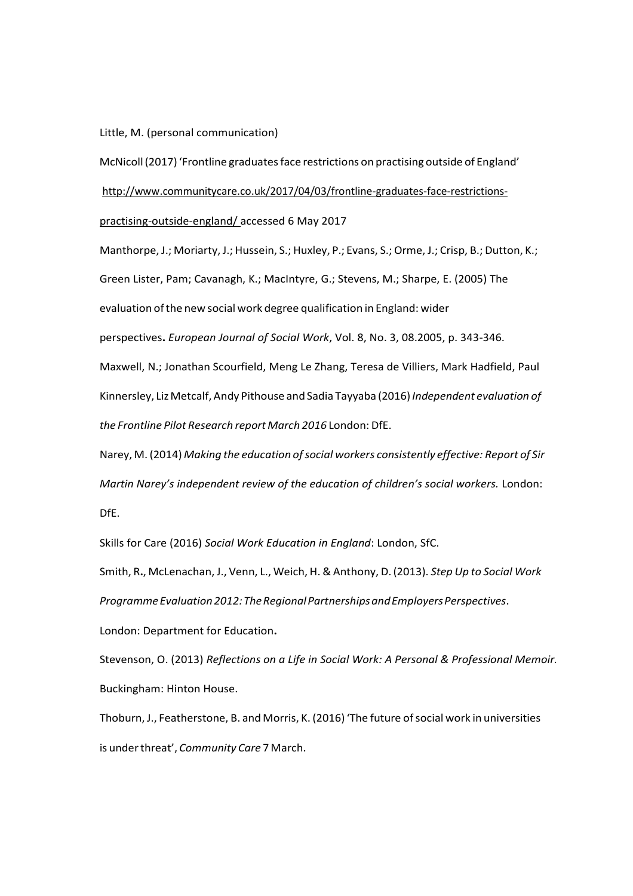Little, M. (personal communication)

McNicoll(2017)'Frontline graduatesface restrictions on practising outside of England' <http://www.communitycare.co.uk/2017/04/03/frontline-graduates-face-restrictions->

practising-outside-england/ accessed 6 May 2017

Manthorpe, J.; Moriarty, J.; Hussein, S.; Huxley, P.; Evans, S.; Orme, J.; Crisp, B.; Dutton, K.; Green Lister, Pam; Cavanagh, K.; MacIntyre, G.; Stevens, M.; Sharpe, E. (2005) The evaluation ofthe new social work degree qualification in England: wider perspectives**.** *European Journal of Social Work*, Vol. 8, No. 3, 08.2005, p. 343-346. Maxwell, N.; Jonathan Scourfield, Meng Le Zhang, Teresa de Villiers, Mark Hadfield, Paul Kinnersley, LizMetcalf, Andy Pithouse and Sadia Tayyaba (2016)*Independent evaluation of* 

*the Frontline Pilot Research reportMarch 2016* London: DfE.

Narey, M. (2014) *Making the education ofsocial workers consistently effective: Report of Sir Martin Narey's independent review of the education of children's social workers.* London: DfE.

Skills for Care (2016) *Social Work Education in England*: London, SfC.

Smith, R**.**, McLenachan, J., Venn, L., Weich, H. & Anthony, D.(2013). *Step Up to Social Work ProgrammeEvaluation2012:TheRegionalPartnershipsandEmployersPerspectives*.

London: Department for Education**.**

Stevenson, O. (2013) *Reflections on a Life in Social Work: A Personal & Professional Memoir.* Buckingham: Hinton House.

Thoburn, J., Featherstone, B. and Morris, K. (2016)'The future ofsocial work in universities is underthreat', *Community Care* 7 March.